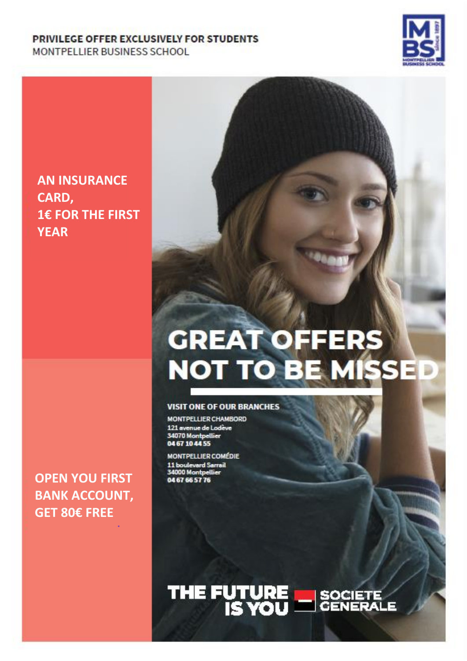#### PRIVILEGE OFFER EXCLUSIVELY FOR STUDENTS MONTPELLIER BUSINESS SCHOOL



#### **AN INSURANCE CARD, 1€ FOR THE FIRST YEAR**

# **GREAT OFFERS NOT TO BE MISSED**

#### **VISIT ONE OF OUR BRANCHES**

**MONTPELLIER CHAMBORD** 121 avenue de Lodève<br>34070 Montpellier<br>04 67 10 44 55

**MONTPELLIER COMÉDIE** 11 boulevard Sarrail<br>34000 Montpellier 04 67 66 57 76

## THE FUTURE SOCIETE

**OPEN YOU FIRST BANK ACCOUNT, GET 80€ FREE**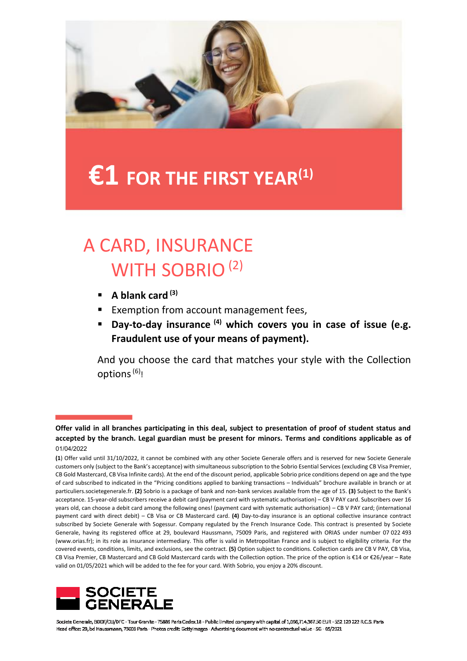

## **€1 FOR THE FIRST YEAR(1)**

### A CARD, INSURANCE WITH SOBRIO<sup>(2)</sup>

- **A blank card (3)**
- Exemption from account management fees,
- **Day-to-day insurance (4) which covers you in case of issue (e.g. Fraudulent use of your means of payment).**

And you choose the card that matches your style with the Collection options $^{(6)}$ !

**<sup>(1</sup>**) Offer valid until 31/10/2022, it cannot be combined with any other Societe Generale offers and is reserved for new Societe Generale customers only (subject to the Bank's acceptance) with simultaneous subscription to the Sobrio Esential Services (excluding CB Visa Premier, CB Gold Mastercard, CB Visa Infinite cards). At the end of the discount period, applicable Sobrio price conditions depend on age and the type of card subscribed to indicated in the "Pricing conditions applied to banking transactions – Individuals" brochure available in branch or at particuliers.societegenerale.fr. **(2)** Sobrio is a package of bank and non-bank services available from the age of 15. **(3)** Subject to the Bank's acceptance. 15-year-old subscribers receive a debit card (payment card with systematic authorisation) – CB V PAY card. Subscribers over 16 years old, can choose a debit card among the following ones! (payment card with systematic authorisation) – CB V PAY card; (international payment card with direct debit) – CB Visa or CB Mastercard card. **(4)** Day-to-day insurance is an optional collective insurance contract subscribed by Societe Generale with Sogessur. Company regulated by the French Insurance Code. This contract is presented by Societe Generale, having its registered office at 29, boulevard Haussmann, 75009 Paris, and registered with ORIAS under number 07 022 493 (www.orias.fr); in its role as insurance intermediary. This offer is valid in Metropolitan France and is subject to eligibility criteria. For the covered events, conditions, limits, and exclusions, see the contract. **(5)** Option subject to conditions. Collection cards are CB V PAY, CB Visa, CB Visa Premier, CB Mastercard and CB Gold Mastercard cards with the Collection option. The price of the option is €14 or €26/year – Rate valid on 01/05/2021 which will be added to the fee for your card. With Sobrio, you enjoy a 20% discount.



Societe Generale, BDDF/CLI/DFC - Tour Granite - 75886 Paris Cedex 18 - Public limited company with capital of 1,066,714,367.50 EUR - 552 120 222 R.C.S. Paris Head office: 29, bd Haussmann, 75009 Parls - Photos credit: Gettyimages - Advertising document with no contractual value - SG - 05/2021

**Offer valid in all branches participating in this deal, subject to presentation of proof of student status and accepted by the branch. Legal guardian must be present for minors. Terms and conditions applicable as of 01/07/2021.** 01/04/2022